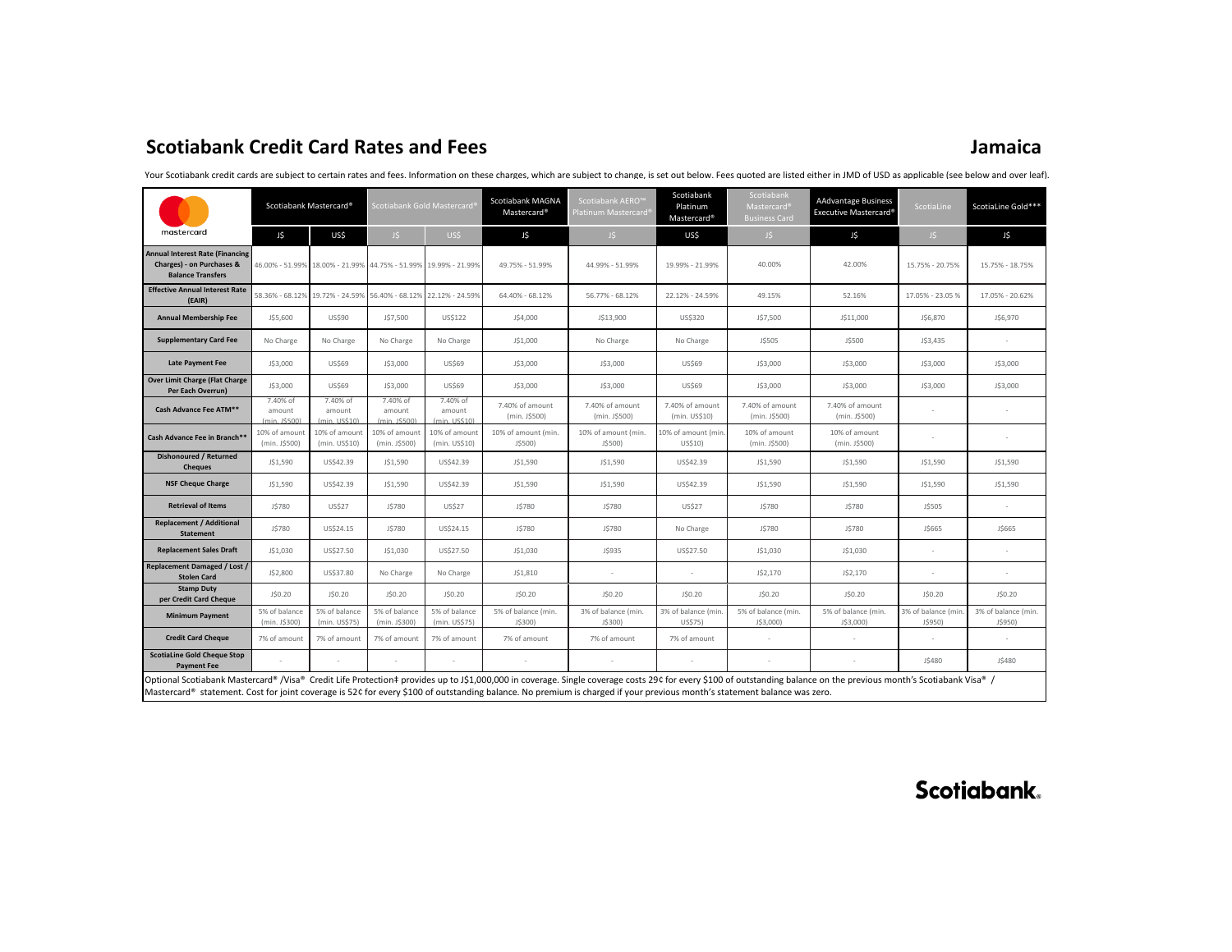# **Scotiabank Credit Card Rates and Fees Jamaica**

|                                                                                                                                                                                                                                                                                                                                                                                                 | Scotiabank Mastercard®              |                                      | Scotiabank Gold Mastercard®                                     |                                      | Scotiabank MAGNA<br>Mastercard <sup>®</sup> | Scotiabank AERO <sup>™</sup><br>Platinum Mastercard® | Scotiabank<br>Platinum<br>Mastercard <sup>®</sup> | Scotiabank<br>Mastercard <sup>®</sup><br><b>Business Card</b> | <b>AAdvantage Business</b><br>Executive Mastercard® | ScotiaLine                     | ScotiaLine Gold***             |
|-------------------------------------------------------------------------------------------------------------------------------------------------------------------------------------------------------------------------------------------------------------------------------------------------------------------------------------------------------------------------------------------------|-------------------------------------|--------------------------------------|-----------------------------------------------------------------|--------------------------------------|---------------------------------------------|------------------------------------------------------|---------------------------------------------------|---------------------------------------------------------------|-----------------------------------------------------|--------------------------------|--------------------------------|
| mastercard                                                                                                                                                                                                                                                                                                                                                                                      | J\$                                 | US\$                                 | J\$                                                             | US\$                                 | J\$                                         | JS                                                   | US\$                                              | J\$                                                           | J\$                                                 | J\$                            | J\$                            |
| <b>Annual Interest Rate (Financing</b><br>Charges) - on Purchases &<br><b>Balance Transfers</b>                                                                                                                                                                                                                                                                                                 |                                     |                                      | 46.00% - 51.99% 18.00% - 21.99% 44.75% - 51.99% 19.99% - 21.99% |                                      | 49.75% - 51.99%                             | 44.99% - 51.99%                                      | 19.99% - 21.99%                                   | 40.00%                                                        | 42.00%                                              | 15.75% - 20.75%                | 15.75% - 18.75%                |
| <b>Effective Annual Interest Rate</b><br>(EAIR)                                                                                                                                                                                                                                                                                                                                                 |                                     |                                      | 58.36% - 68.12% 19.72% - 24.59% 56.40% - 68.12% 22.12% - 24.59% |                                      | 64.40% - 68.12%                             | 56.77% - 68.12%                                      | 22.12% - 24.59%                                   | 49.15%                                                        | 52.16%                                              | 17.05% - 23.05%                | 17.05% - 20.62%                |
| <b>Annual Membership Fee</b>                                                                                                                                                                                                                                                                                                                                                                    | J\$5,600                            | US\$90                               | J\$7,500                                                        | US\$122                              | J\$4,000                                    | J\$13,900                                            | US\$320                                           | J\$7,500                                                      | J\$11,000                                           | J\$6,870                       | J\$6,970                       |
| <b>Supplementary Card Fee</b>                                                                                                                                                                                                                                                                                                                                                                   | No Charge                           | No Charge                            | No Charge                                                       | No Charge                            | J\$1,000                                    | No Charge                                            | No Charge                                         | J\$505                                                        | J\$500                                              | J\$3,435                       |                                |
| <b>Late Payment Fee</b>                                                                                                                                                                                                                                                                                                                                                                         | J\$3,000                            | US\$69                               | J\$3,000                                                        | <b>US\$69</b>                        | J\$3,000                                    | J\$3,000                                             | US\$69                                            | J\$3,000                                                      | J\$3,000                                            | J\$3,000                       | J\$3,000                       |
| <b>Over Limit Charge (Flat Charge</b><br>Per Each Overrun)                                                                                                                                                                                                                                                                                                                                      | J\$3,000                            | US\$69                               | J\$3,000                                                        | <b>US\$69</b>                        | J\$3,000                                    | J\$3,000                                             | <b>US\$69</b>                                     | J\$3,000                                                      | J\$3,000                                            | J\$3,000                       | J\$3,000                       |
| Cash Advance Fee ATM**                                                                                                                                                                                                                                                                                                                                                                          | 7.40% of<br>amount<br>(min. 1\$500) | 7.40% of<br>amount<br>(min. LIS\$10) | 7.40% of<br>amount<br>(min. 1\$500)                             | 7.40% of<br>amount<br>(min. LIS\$10) | 7.40% of amount<br>(min. J\$500)            | 7.40% of amount<br>(min. J\$500)                     | 7.40% of amount<br>(min. US\$10)                  | 7.40% of amount<br>(min. J\$500)                              | 7.40% of amount<br>(min. J\$500)                    |                                |                                |
| Cash Advance Fee in Branch**                                                                                                                                                                                                                                                                                                                                                                    | 10% of amount<br>(min. J\$500)      | 10% of amount<br>(min. US\$10)       | 10% of amount<br>(min. J\$500)                                  | 10% of amount<br>(min. US\$10)       | 10% of amount (min.<br>J\$500)              | 10% of amount (min.<br>J\$500)                       | 10% of amount (min.<br>US\$10)                    | 10% of amount<br>(min. J\$500)                                | 10% of amount<br>(min. J\$500)                      |                                |                                |
| <b>Dishonoured / Returned</b><br><b>Cheques</b>                                                                                                                                                                                                                                                                                                                                                 | J\$1,590                            | US\$42.39                            | J\$1,590                                                        | US\$42.39                            | J\$1,590                                    | J\$1,590                                             | US\$42.39                                         | J\$1,590                                                      | J\$1,590                                            | J\$1,590                       | J\$1,590                       |
| <b>NSF Cheque Charge</b>                                                                                                                                                                                                                                                                                                                                                                        | J\$1,590                            | US\$42.39                            | J\$1,590                                                        | US\$42.39                            | J\$1,590                                    | J\$1,590                                             | US\$42.39                                         | J\$1,590                                                      | J\$1,590                                            | J\$1,590                       | J\$1,590                       |
| <b>Retrieval of Items</b>                                                                                                                                                                                                                                                                                                                                                                       | J\$780                              | <b>US\$27</b>                        | J\$780                                                          | <b>US\$27</b>                        | J\$780                                      | J\$780                                               | <b>US\$27</b>                                     | J\$780                                                        | J\$780                                              | J\$505                         |                                |
| <b>Replacement / Additional</b><br><b>Statement</b>                                                                                                                                                                                                                                                                                                                                             | J\$780                              | US\$24.15                            | J\$780                                                          | US\$24.15                            | J\$780                                      | J\$780                                               | No Charge                                         | J\$780                                                        | <b>JS780</b>                                        | J\$665                         | J\$665                         |
| <b>Replacement Sales Draft</b>                                                                                                                                                                                                                                                                                                                                                                  | J\$1,030                            | US\$27.50                            | J\$1,030                                                        | US\$27.50                            | J\$1,030                                    | J\$935                                               | US\$27.50                                         | J\$1,030                                                      | J\$1,030                                            |                                |                                |
| <b>Replacement Damaged / Lost /</b><br><b>Stolen Card</b>                                                                                                                                                                                                                                                                                                                                       | J\$2,800                            | US\$37.80                            | No Charge                                                       | No Charge                            | J\$1,810                                    | $\sim$                                               | ×.                                                | J\$2,170                                                      | J\$2,170                                            |                                |                                |
| <b>Stamp Duty</b><br>per Credit Card Cheque                                                                                                                                                                                                                                                                                                                                                     | J\$0.20                             | J\$0.20                              | J\$0.20                                                         | J\$0.20                              | J\$0.20                                     | J\$0.20                                              | J\$0.20                                           | J\$0.20                                                       | J\$0.20                                             | J\$0.20                        | J\$0.20                        |
| <b>Minimum Payment</b>                                                                                                                                                                                                                                                                                                                                                                          | 5% of balance<br>(min. J\$300)      | 5% of balance<br>(min. US\$75)       | 5% of balance<br>(min. J\$300)                                  | 5% of balance<br>(min. US\$75)       | 5% of balance (min.<br>J\$300)              | 3% of balance (min.<br>J\$300)                       | 3% of balance (min<br>US\$75)                     | 5% of balance (min.<br>J\$3,000)                              | 5% of balance (min.<br>J\$3,000)                    | 3% of balance (min.<br>J\$950) | 3% of balance (min.<br>J\$950) |
| <b>Credit Card Cheque</b>                                                                                                                                                                                                                                                                                                                                                                       | 7% of amount                        | 7% of amount                         | 7% of amount                                                    | 7% of amount                         | 7% of amount                                | 7% of amount                                         | 7% of amount                                      |                                                               |                                                     |                                |                                |
| <b>ScotiaLine Gold Cheque Stop</b><br><b>Payment Fee</b>                                                                                                                                                                                                                                                                                                                                        |                                     |                                      |                                                                 |                                      |                                             |                                                      |                                                   |                                                               |                                                     | J\$480                         | J\$480                         |
| Optional Scotiabank Mastercard® /Visa® Credit Life Protection‡ provides up to J\$1,000,000 in coverage. Single coverage costs 29¢ for every \$100 of outstanding balance on the previous month's Scotiabank Visa® /<br>Mastercard® statement. Cost for joint coverage is 52¢ for every \$100 of outstanding balance. No premium is charged if your previous month's statement balance was zero. |                                     |                                      |                                                                 |                                      |                                             |                                                      |                                                   |                                                               |                                                     |                                |                                |

Your Scotiabank credit cards are subiect to certain rates and fees. Information on these charges, which are subiect to change, is set out below. Fees quoted are listed either in JMD of USD as applicable (see below and over

Scotiabank.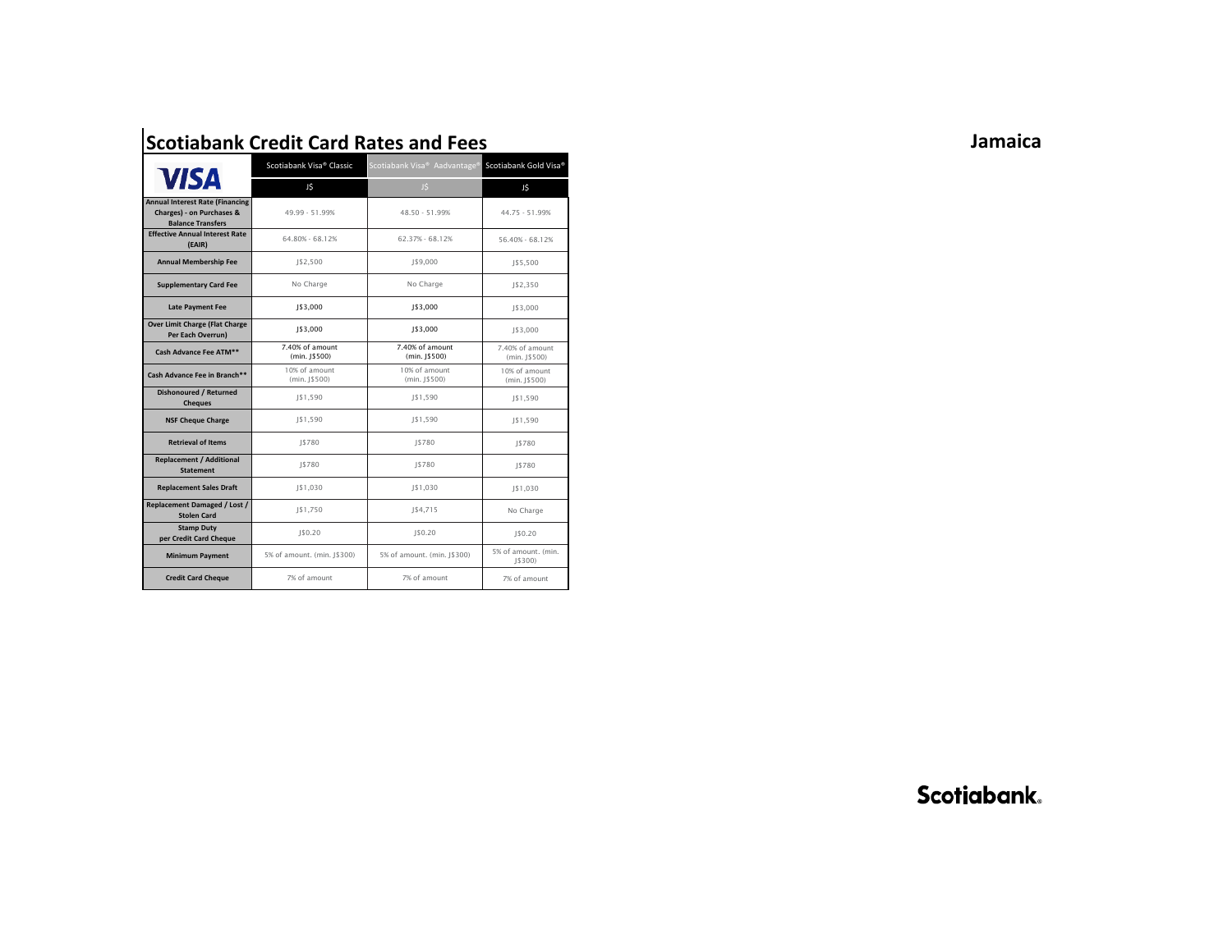|                                                                                                 | Scotiabank Visa® Classic         | Scotiabank Visa® Aadvantage® Scotiabank Gold Visa® |                                  |  |
|-------------------------------------------------------------------------------------------------|----------------------------------|----------------------------------------------------|----------------------------------|--|
| <b>VISA</b>                                                                                     | J\$                              | J\$                                                | J\$                              |  |
| <b>Annual Interest Rate (Financing</b><br>Charges) - on Purchases &<br><b>Balance Transfers</b> | 49.99 - 51.99%                   | 48.50 - 51.99%                                     | 44.75 - 51.99%                   |  |
| <b>Effective Annual Interest Rate</b><br>(EAIR)                                                 | 64.80% - 68.12%                  | 62.37% - 68.12%                                    | 56.40% - 68.12%                  |  |
| <b>Annual Membership Fee</b>                                                                    | J\$2,500                         | J\$9,000                                           | J\$5,500                         |  |
| <b>Supplementary Card Fee</b>                                                                   | No Charge                        | No Charge                                          | J\$2,350                         |  |
| <b>Late Payment Fee</b>                                                                         | J\$3,000                         | J\$3,000                                           | J\$3,000                         |  |
| <b>Over Limit Charge (Flat Charge</b><br>Per Each Overrun)                                      | 1\$3,000                         | 1\$3,000                                           | J\$3,000                         |  |
| Cash Advance Fee ATM**                                                                          | 7.40% of amount<br>(min. 1\$500) | 7.40% of amount<br>(min. 1\$500)                   | 7.40% of amount<br>(min. J\$500) |  |
| Cash Advance Fee in Branch**                                                                    | 10% of amount<br>$(min.$ J\$500) | 10% of amount<br>$(min.$ J\$500)                   | 10% of amount<br>$(min.$ J\$500) |  |
| <b>Dishonoured / Returned</b><br><b>Cheques</b>                                                 | J\$1,590                         | J\$1,590                                           | J\$1,590                         |  |
| <b>NSF Cheque Charge</b>                                                                        | J\$1,590                         | J\$1,590                                           | 1\$1,590                         |  |
| <b>Retrieval of Items</b>                                                                       | 1\$780                           | 1\$780                                             | 1\$780                           |  |
| <b>Replacement / Additional</b><br><b>Statement</b>                                             | J\$780                           | J\$780                                             | 1\$780                           |  |
| <b>Replacement Sales Draft</b>                                                                  | J\$1,030                         | J\$1,030                                           | J\$1,030                         |  |
| <b>Replacement Damaged / Lost /</b><br><b>Stolen Card</b>                                       | J\$1,750                         | J\$4,715                                           | No Charge                        |  |
| <b>Stamp Duty</b><br>per Credit Card Cheque                                                     | J\$0.20                          | J\$0.20                                            | IS0.20                           |  |
| <b>Minimum Payment</b>                                                                          | 5% of amount. (min. J\$300)      | 5% of amount. (min. J\$300)                        | 5% of amount. (min.<br>J\$300)   |  |
| <b>Credit Card Cheque</b>                                                                       | 7% of amount                     | 7% of amount                                       | 7% of amount                     |  |

# **Scotiabank Credit Card Rates and Fees**

**Jamaica**

Scotiabank.